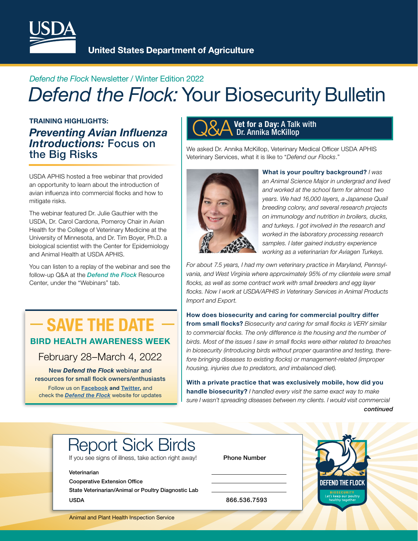

**United States Department of Agriculture** 

## *Defend the Flock* Newsletter / Winter Edition 2022 *Defend the Flock:* Your Biosecurity Bulletin

TRAINING HIGHLIGHTS: *Preventing Avian Infuenza Introductions:* Focus on the Big Risks

USDA APHIS hosted a free webinar that provided an opportunity to learn about the introduction of avian influenza into commercial flocks and how to mitigate risks.

The webinar featured Dr. Julie Gauthier with the USDA, Dr. Carol Cardona, Pomeroy Chair in Avian Health for the College of Veterinary Medicine at the University of Minnesota, and Dr. Tim Boyer, Ph.D. a biological scientist with the Center for Epidemiology and Animal Health at USDA APHIS.

You can listen to a replay of the webinar and see the follow-up Q&A at the *[Defend the Flock](http://bit.ly/DefendtheFlock-ResourceCenter)* Resource Center, under the "Webinars" tab.

## $-$  SAVE THE DATE  $-$ BIRD HEALTH AWARENESS WEEK

February 28–March 4, 2022

New *Defend the Flock* webinar and resources for small flock owners/enthusiasts Follow us on [Facebook a](https://www.facebook.com/defendtheflock/)nd [Twitter,](https://twitter.com/Defend_theFlock) and check the *[Defend the Flock](http://bit.ly/DefendtheFlock)* website for updates

## **Q&A** Vet for a Day: A Talk with Dr. Annika McKillop

We asked Dr. Annika McKillop, Veterinary Medical Officer USDA APHIS Veterinary Services, what it is like to "*Defend our Flocks*."



What is your poultry background? *I was an Animal Science Major in undergrad and lived and worked at the school farm for almost two years. We had 16,000 layers, a Japanese Quail breeding colony, and several research projects on immunology and nutrition in broilers, ducks, and turkeys. I got involved in the research and worked in the laboratory processing research samples. I later gained industry experience working as a veterinarian for Aviagen Turkeys.* 

*For about 7.5 years, I had my own veterinary practice in Maryland, Pennsylvania, and West Virginia where approximately 95% of my clientele were small flocks, as well as some contract work with small breeders and egg layer flocks. Now I work at USDA/APHIS in Veterinary Services in Animal Products Import and Export.* 

How does biosecurity and caring for commercial poultry differ from small flocks? Biosecurity and caring for small flocks is VERY similar *to commercial focks. The only difference is the housing and the number of birds. Most of the issues I saw in small focks were either related to breaches in biosecurity (introducing birds without proper quarantine and testing, therefore bringing diseases to existing focks) or management-related (improper housing, injuries due to predators, and imbalanced diet).* 

With a private practice that was exclusively mobile, how did you handle biosecurity? *I handled every visit the same exact way to make sure I wasn't spreading diseases between my clients. I would visit commercial continued* 

# Report Sick Birds

If you see signs of illness, take action right away! Phone Number

#### Veterinarian

Cooperative Extension Office

State Veterinarian/Animal or Poultry Diagnostic Lab USDA 866.536.7593



Animal and Plant Health Inspection Service